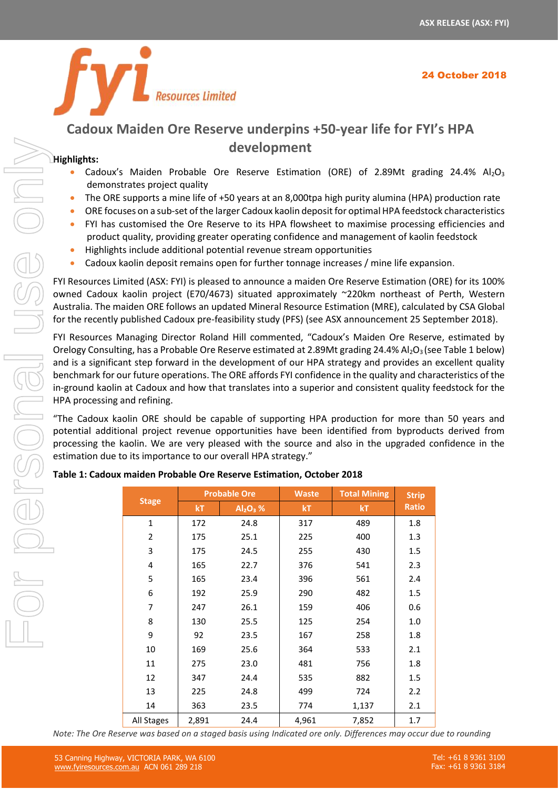

# **Cadoux Maiden Ore Reserve underpins +50-year life for FYI's HPA development**

# **Highlights:**

- Cadoux's Maiden Probable Ore Reserve Estimation (ORE) of 2.89Mt grading 24.4% Al<sub>2</sub>O<sub>3</sub> demonstrates project quality
- The ORE supports a mine life of +50 years at an 8,000tpa high purity alumina (HPA) production rate
- ORE focuses on a sub-set of the larger Cadoux kaolin deposit for optimal HPA feedstock characteristics
- FYI has customised the Ore Reserve to its HPA flowsheet to maximise processing efficiencies and product quality, providing greater operating confidence and management of kaolin feedstock
- Highlights include additional potential revenue stream opportunities
- Cadoux kaolin deposit remains open for further tonnage increases / mine life expansion.

|                                                                                                                                                                                                                                                                                                                                                                                                                                                                                                                                                                                                                                                                                                                                                                                                                                                                                                                                                                                                                                                       | development                                                                                                                                                                                                                                                                                                                                                                                                                                                                                                                                                                                                                                                                                                                                                                                                                                                                                                                                                                                                                                                                    |                                                                   |                                                                              |                                                                    |                                                                    |                                                                            |  |
|-------------------------------------------------------------------------------------------------------------------------------------------------------------------------------------------------------------------------------------------------------------------------------------------------------------------------------------------------------------------------------------------------------------------------------------------------------------------------------------------------------------------------------------------------------------------------------------------------------------------------------------------------------------------------------------------------------------------------------------------------------------------------------------------------------------------------------------------------------------------------------------------------------------------------------------------------------------------------------------------------------------------------------------------------------|--------------------------------------------------------------------------------------------------------------------------------------------------------------------------------------------------------------------------------------------------------------------------------------------------------------------------------------------------------------------------------------------------------------------------------------------------------------------------------------------------------------------------------------------------------------------------------------------------------------------------------------------------------------------------------------------------------------------------------------------------------------------------------------------------------------------------------------------------------------------------------------------------------------------------------------------------------------------------------------------------------------------------------------------------------------------------------|-------------------------------------------------------------------|------------------------------------------------------------------------------|--------------------------------------------------------------------|--------------------------------------------------------------------|----------------------------------------------------------------------------|--|
| Highlights:<br>Cadoux's Maiden Probable Ore Reserve Estimation (ORE) of 2.89Mt grading 24.4% A<br>demonstrates project quality<br>The ORE supports a mine life of +50 years at an 8,000tpa high purity alumina (HPA) production ra<br>ORE focuses on a sub-set of the larger Cadoux kaolin deposit for optimal HPA feedstock characteris<br>۰<br>FYI has customised the Ore Reserve to its HPA flowsheet to maximise processing efficiencies<br>$\bullet$<br>product quality, providing greater operating confidence and management of kaolin feedstock<br>Highlights include additional potential revenue stream opportunities<br>Cadoux kaolin deposit remains open for further tonnage increases / mine life expansion.<br>٠<br>FYI Resources Limited (ASX: FYI) is pleased to announce a maiden Ore Reserve Estimation (ORE) for its 10<br>owned Cadoux kaolin project (E70/4673) situated approximately ~220km northeast of Perth, West<br>Australia. The maiden ORE follows an updated Mineral Resource Estimation (MRE), calculated by CSA Glo |                                                                                                                                                                                                                                                                                                                                                                                                                                                                                                                                                                                                                                                                                                                                                                                                                                                                                                                                                                                                                                                                                |                                                                   |                                                                              |                                                                    |                                                                    |                                                                            |  |
|                                                                                                                                                                                                                                                                                                                                                                                                                                                                                                                                                                                                                                                                                                                                                                                                                                                                                                                                                                                                                                                       | for the recently published Cadoux pre-feasibility study (PFS) (see ASX announcement 25 September 2018<br>FYI Resources Managing Director Roland Hill commented, "Cadoux's Maiden Ore Reserve, estimated<br>Orelogy Consulting, has a Probable Ore Reserve estimated at 2.89Mt grading 24.4% Al2O <sub>3</sub> (see Table 1 beld<br>and is a significant step forward in the development of our HPA strategy and provides an excellent qua<br>benchmark for our future operations. The ORE affords FYI confidence in the quality and characteristics of<br>in-ground kaolin at Cadoux and how that translates into a superior and consistent quality feedstock for<br>HPA processing and refining.<br>"The Cadoux kaolin ORE should be capable of supporting HPA production for more than 50 years<br>potential additional project revenue opportunities have been identified from byproducts derived fr<br>processing the kaolin. We are very pleased with the source and also in the upgraded confidence in<br>estimation due to its importance to our overall HPA strategy." |                                                                   |                                                                              |                                                                    |                                                                    |                                                                            |  |
|                                                                                                                                                                                                                                                                                                                                                                                                                                                                                                                                                                                                                                                                                                                                                                                                                                                                                                                                                                                                                                                       |                                                                                                                                                                                                                                                                                                                                                                                                                                                                                                                                                                                                                                                                                                                                                                                                                                                                                                                                                                                                                                                                                |                                                                   |                                                                              |                                                                    |                                                                    |                                                                            |  |
|                                                                                                                                                                                                                                                                                                                                                                                                                                                                                                                                                                                                                                                                                                                                                                                                                                                                                                                                                                                                                                                       | Table 1: Cadoux maiden Probable Ore Reserve Estimation, October 2018                                                                                                                                                                                                                                                                                                                                                                                                                                                                                                                                                                                                                                                                                                                                                                                                                                                                                                                                                                                                           |                                                                   |                                                                              |                                                                    |                                                                    |                                                                            |  |
|                                                                                                                                                                                                                                                                                                                                                                                                                                                                                                                                                                                                                                                                                                                                                                                                                                                                                                                                                                                                                                                       | <b>Stage</b>                                                                                                                                                                                                                                                                                                                                                                                                                                                                                                                                                                                                                                                                                                                                                                                                                                                                                                                                                                                                                                                                   | kT                                                                | <b>Probable Ore</b><br>$Al_2O_3$ %                                           | <b>Waste</b><br>kT                                                 | <b>Total Mining</b><br>kT                                          | <b>Strip</b><br><b>Ratio</b>                                               |  |
|                                                                                                                                                                                                                                                                                                                                                                                                                                                                                                                                                                                                                                                                                                                                                                                                                                                                                                                                                                                                                                                       | 1<br>2<br>3<br>4<br>5<br>6<br>7<br>8<br>9<br>10                                                                                                                                                                                                                                                                                                                                                                                                                                                                                                                                                                                                                                                                                                                                                                                                                                                                                                                                                                                                                                | 172<br>175<br>175<br>165<br>165<br>192<br>247<br>130<br>92<br>169 | 24.8<br>25.1<br>24.5<br>22.7<br>23.4<br>25.9<br>26.1<br>25.5<br>23.5<br>25.6 | 317<br>225<br>255<br>376<br>396<br>290<br>159<br>125<br>167<br>364 | 489<br>400<br>430<br>541<br>561<br>482<br>406<br>254<br>258<br>533 | 1.8<br>1.3<br>1.5<br>2.3<br>2.4<br>$1.5\,$<br>0.6<br>$1.0\,$<br>1.8<br>2.1 |  |
|                                                                                                                                                                                                                                                                                                                                                                                                                                                                                                                                                                                                                                                                                                                                                                                                                                                                                                                                                                                                                                                       | 11                                                                                                                                                                                                                                                                                                                                                                                                                                                                                                                                                                                                                                                                                                                                                                                                                                                                                                                                                                                                                                                                             | 275                                                               | 23.0                                                                         | 481                                                                | 756                                                                | 1.8                                                                        |  |
|                                                                                                                                                                                                                                                                                                                                                                                                                                                                                                                                                                                                                                                                                                                                                                                                                                                                                                                                                                                                                                                       | 12                                                                                                                                                                                                                                                                                                                                                                                                                                                                                                                                                                                                                                                                                                                                                                                                                                                                                                                                                                                                                                                                             | 347                                                               | 24.4                                                                         | 535                                                                | 882                                                                | 1.5                                                                        |  |
|                                                                                                                                                                                                                                                                                                                                                                                                                                                                                                                                                                                                                                                                                                                                                                                                                                                                                                                                                                                                                                                       | 13                                                                                                                                                                                                                                                                                                                                                                                                                                                                                                                                                                                                                                                                                                                                                                                                                                                                                                                                                                                                                                                                             | 225                                                               | 24.8                                                                         | 499                                                                | 724                                                                | 2.2                                                                        |  |
|                                                                                                                                                                                                                                                                                                                                                                                                                                                                                                                                                                                                                                                                                                                                                                                                                                                                                                                                                                                                                                                       | $14\,$<br>All Stages                                                                                                                                                                                                                                                                                                                                                                                                                                                                                                                                                                                                                                                                                                                                                                                                                                                                                                                                                                                                                                                           | 363<br>2,891                                                      | 23.5<br>24.4                                                                 | 774<br>4,961                                                       | 1,137<br>7,852                                                     | 2.1<br>1.7                                                                 |  |

#### **Table 1: Cadoux maiden Probable Ore Reserve Estimation, October 2018**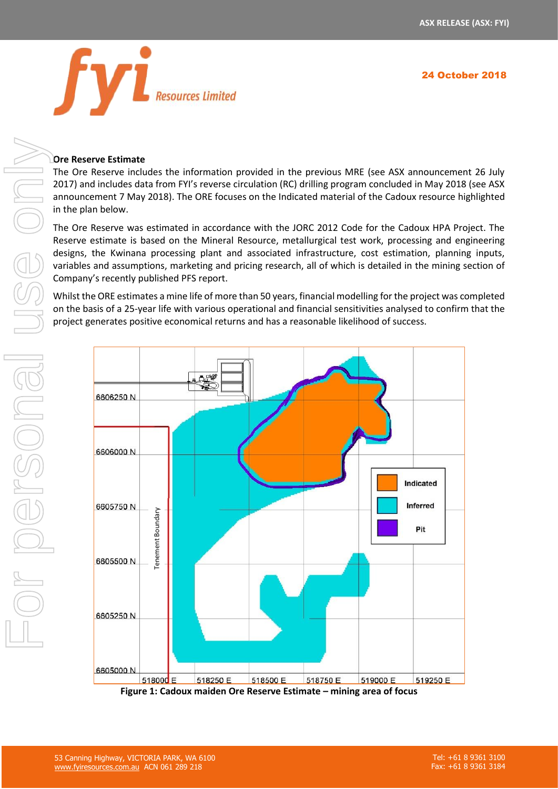

#### **Ore Reserve Estimate**

The Ore Reserve includes the information provided in the previous MRE (see ASX announcement 26 July 2017) and includes data from FYI's reverse circulation (RC) drilling program concluded in May 2018 (see ASX announcement 7 May 2018). The ORE focuses on the Indicated material of the Cadoux resource highlighted in the plan below.

The Ore Reserve was estimated in accordance with the JORC 2012 Code for the Cadoux HPA Project. The Reserve estimate is based on the Mineral Resource, metallurgical test work, processing and engineering designs, the Kwinana processing plant and associated infrastructure, cost estimation, planning inputs, variables and assumptions, marketing and pricing research, all of which is detailed in the mining section of Company's recently published PFS report.

Whilst the ORE estimates a mine life of more than 50 years, financial modelling forthe project was completed on the basis of a 25-year life with various operational and financial sensitivities analysed to confirm that the project generates positive economical returns and has a reasonable likelihood of success.



**Figure 1: Cadoux maiden Ore Reserve Estimate – mining area of focus**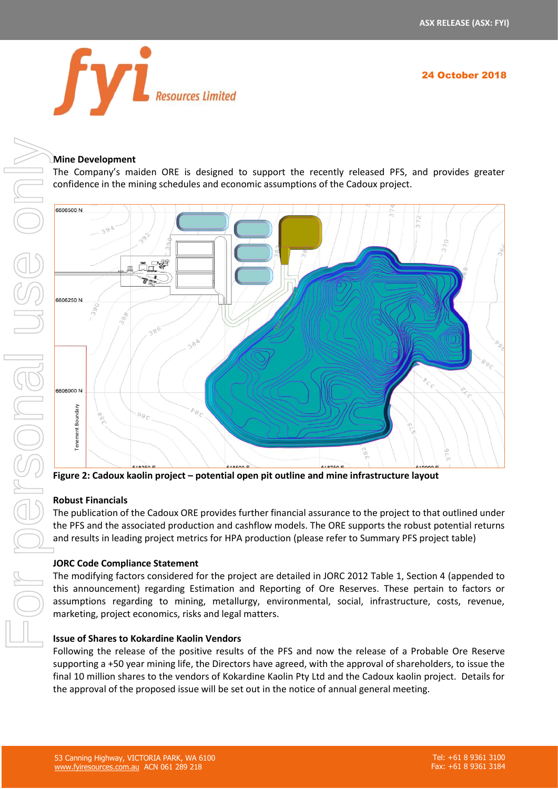

## **Mine Development**

The Company's maiden ORE is designed to support the recently released PFS, and provides greater confidence in the mining schedules and economic assumptions of the Cadoux project.



**Figure 2: Cadoux kaolin project – potential open pit outline and mine infrastructure layout**

## **Robust Financials**

The publication of the Cadoux ORE provides further financial assurance to the project to that outlined under the PFS and the associated production and cashflow models. The ORE supports the robust potential returns and results in leading project metrics for HPA production (please refer to Summary PFS project table)

## **JORC Code Compliance Statement**

The modifying factors considered for the project are detailed in JORC 2012 Table 1, Section 4 (appended to this announcement) regarding Estimation and Reporting of Ore Reserves. These pertain to factors or assumptions regarding to mining, metallurgy, environmental, social, infrastructure, costs, revenue, marketing, project economics, risks and legal matters.

#### **Issue of Shares to Kokardine Kaolin Vendors**

Following the release of the positive results of the PFS and now the release of a Probable Ore Reserve supporting a +50 year mining life, the Directors have agreed, with the approval of shareholders, to issue the final 10 million shares to the vendors of Kokardine Kaolin Pty Ltd and the Cadoux kaolin project. Details for the approval of the proposed issue will be set out in the notice of annual general meeting.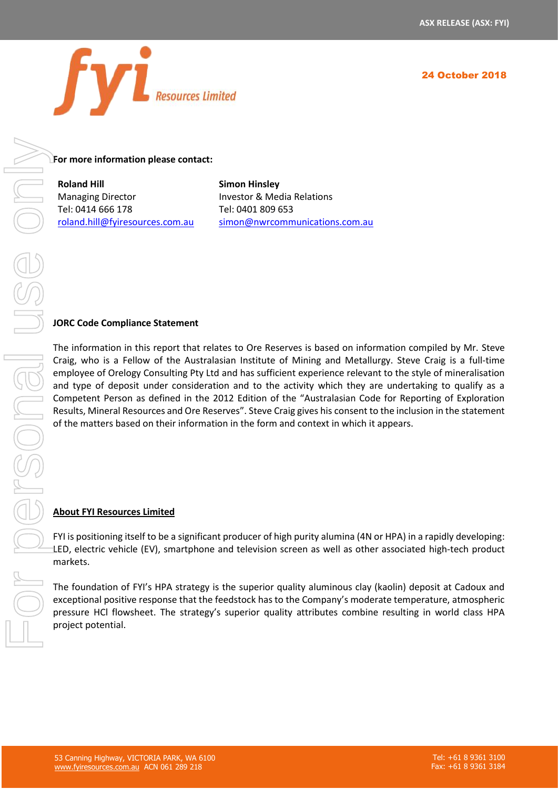

**For more information please contact:** 

**Roland Hill** Managing Director Tel: 0414 666 178 [roland.hill@fyiresources.com.au](mailto:roland.hill@fyiresources.com.au) **Simon Hinsley** Investor & Media Relations Tel: 0401 809 653 [simon@nwrcommunications.com.au](mailto:simon@nwrcommunications.com.au)

#### **JORC Code Compliance Statement**

The information in this report that relates to Ore Reserves is based on information compiled by Mr. Steve Craig, who is a Fellow of the Australasian Institute of Mining and Metallurgy. Steve Craig is a full-time employee of Orelogy Consulting Pty Ltd and has sufficient experience relevant to the style of mineralisation and type of deposit under consideration and to the activity which they are undertaking to qualify as a Competent Person as defined in the 2012 Edition of the "Australasian Code for Reporting of Exploration Results, Mineral Resources and Ore Reserves". Steve Craig gives his consent to the inclusion in the statement of the matters based on their information in the form and context in which it appears.

#### **About FYI Resources Limited**

FYI is positioning itself to be a significant producer of high purity alumina (4N or HPA) in a rapidly developing: LED, electric vehicle (EV), smartphone and television screen as well as other associated high-tech product markets.

The foundation of FYI's HPA strategy is the superior quality aluminous clay (kaolin) deposit at Cadoux and exceptional positive response that the feedstock has to the Company's moderate temperature, atmospheric pressure HCl flowsheet. The strategy's superior quality attributes combine resulting in world class HPA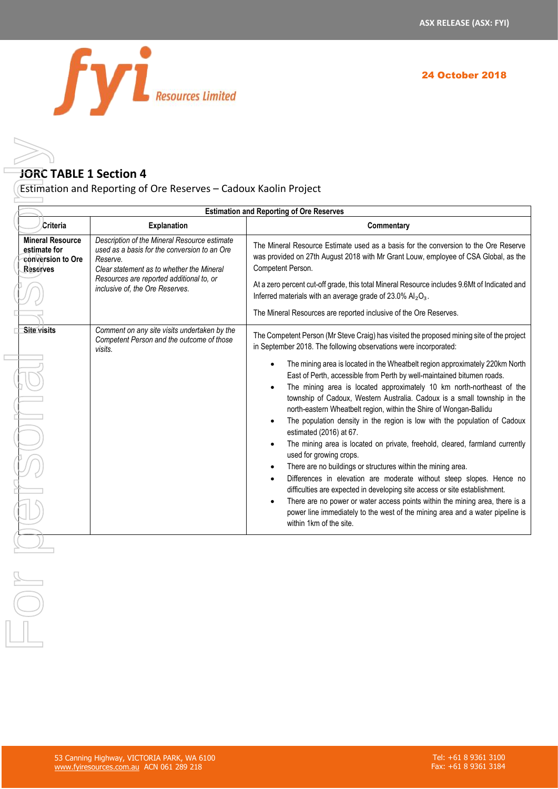

# **JORC TABLE 1 Section 4**

|                                                                                        |                                                                                                                                                                                                                                      | <b>Estimation and Reporting of Ore Reserves</b>                                                                                                                                                                                                                                                                                                                                                                                                                                                                                                                                                                                                                                                                                                                                                                                                                                                                                                                                                                                                                                                                                                                                         |
|----------------------------------------------------------------------------------------|--------------------------------------------------------------------------------------------------------------------------------------------------------------------------------------------------------------------------------------|-----------------------------------------------------------------------------------------------------------------------------------------------------------------------------------------------------------------------------------------------------------------------------------------------------------------------------------------------------------------------------------------------------------------------------------------------------------------------------------------------------------------------------------------------------------------------------------------------------------------------------------------------------------------------------------------------------------------------------------------------------------------------------------------------------------------------------------------------------------------------------------------------------------------------------------------------------------------------------------------------------------------------------------------------------------------------------------------------------------------------------------------------------------------------------------------|
| Criteria                                                                               | Explanation                                                                                                                                                                                                                          | Commentary                                                                                                                                                                                                                                                                                                                                                                                                                                                                                                                                                                                                                                                                                                                                                                                                                                                                                                                                                                                                                                                                                                                                                                              |
| <b>Mineral Resource</b><br>estimate for<br><b>Conversion to Ore</b><br><b>Reserves</b> | Description of the Mineral Resource estimate<br>used as a basis for the conversion to an Ore<br>Reserve.<br>Clear statement as to whether the Mineral<br>Resources are reported additional to, or<br>inclusive of, the Ore Reserves. | The Mineral Resource Estimate used as a basis for the conversion to the Ore Reserve<br>was provided on 27th August 2018 with Mr Grant Louw, employee of CSA Global, as the<br>Competent Person.<br>At a zero percent cut-off grade, this total Mineral Resource includes 9.6Mt of Indicated and<br>Inferred materials with an average grade of 23.0% $Al_2O_3$ .<br>The Mineral Resources are reported inclusive of the Ore Reserves.                                                                                                                                                                                                                                                                                                                                                                                                                                                                                                                                                                                                                                                                                                                                                   |
| <b>Site visits</b>                                                                     | Comment on any site visits undertaken by the<br>Competent Person and the outcome of those<br>visits.                                                                                                                                 | The Competent Person (Mr Steve Craig) has visited the proposed mining site of the project<br>in September 2018. The following observations were incorporated:<br>The mining area is located in the Wheatbelt region approximately 220km North<br>East of Perth, accessible from Perth by well-maintained bitumen roads.<br>The mining area is located approximately 10 km north-northeast of the<br>township of Cadoux, Western Australia. Cadoux is a small township in the<br>north-eastern Wheatbelt region, within the Shire of Wongan-Ballidu<br>The population density in the region is low with the population of Cadoux<br>estimated (2016) at 67.<br>The mining area is located on private, freehold, cleared, farmland currently<br>used for growing crops.<br>There are no buildings or structures within the mining area.<br>Differences in elevation are moderate without steep slopes. Hence no<br>difficulties are expected in developing site access or site establishment.<br>There are no power or water access points within the mining area, there is a<br>power line immediately to the west of the mining area and a water pipeline is<br>within 1km of the site. |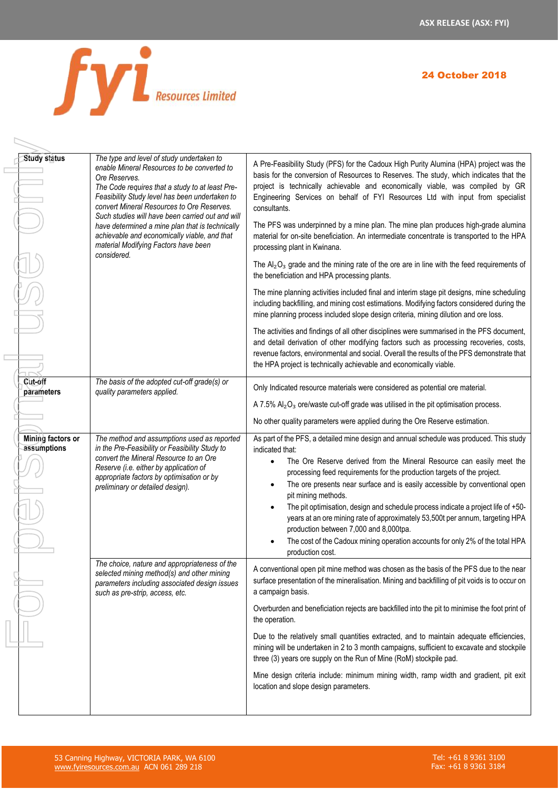

 $\overline{\phantom{a}}$ 

| <b>Study status</b>              | The type and level of study undertaken to<br>enable Mineral Resources to be converted to<br>Ore Reserves.<br>The Code requires that a study to at least Pre-<br>Feasibility Study level has been undertaken to<br>convert Mineral Resources to Ore Reserves.<br>Such studies will have been carried out and will<br>have determined a mine plan that is technically<br>achievable and economically viable, and that<br>material Modifying Factors have been<br>considered. | A Pre-Feasibility Study (PFS) for the Cadoux High Purity Alumina (HPA) project was the<br>basis for the conversion of Resources to Reserves. The study, which indicates that the<br>project is technically achievable and economically viable, was compiled by GR<br>Engineering Services on behalf of FYI Resources Ltd with input from specialist<br>consultants.<br>The PFS was underpinned by a mine plan. The mine plan produces high-grade alumina<br>material for on-site beneficiation. An intermediate concentrate is transported to the HPA<br>processing plant in Kwinana.<br>The $Al_2O_3$ grade and the mining rate of the ore are in line with the feed requirements of<br>the beneficiation and HPA processing plants.<br>The mine planning activities included final and interim stage pit designs, mine scheduling<br>including backfilling, and mining cost estimations. Modifying factors considered during the<br>mine planning process included slope design criteria, mining dilution and ore loss.<br>The activities and findings of all other disciplines were summarised in the PFS document,<br>and detail derivation of other modifying factors such as processing recoveries, costs,<br>revenue factors, environmental and social. Overall the results of the PFS demonstrate that<br>the HPA project is technically achievable and economically viable. |  |  |
|----------------------------------|----------------------------------------------------------------------------------------------------------------------------------------------------------------------------------------------------------------------------------------------------------------------------------------------------------------------------------------------------------------------------------------------------------------------------------------------------------------------------|--------------------------------------------------------------------------------------------------------------------------------------------------------------------------------------------------------------------------------------------------------------------------------------------------------------------------------------------------------------------------------------------------------------------------------------------------------------------------------------------------------------------------------------------------------------------------------------------------------------------------------------------------------------------------------------------------------------------------------------------------------------------------------------------------------------------------------------------------------------------------------------------------------------------------------------------------------------------------------------------------------------------------------------------------------------------------------------------------------------------------------------------------------------------------------------------------------------------------------------------------------------------------------------------------------------------------------------------------------------------------------------|--|--|
| Cut-off<br>parameters            | The basis of the adopted cut-off grade(s) or<br>quality parameters applied.                                                                                                                                                                                                                                                                                                                                                                                                | Only Indicated resource materials were considered as potential ore material.<br>A 7.5% $Al_2O_3$ ore/waste cut-off grade was utilised in the pit optimisation process.<br>No other quality parameters were applied during the Ore Reserve estimation.                                                                                                                                                                                                                                                                                                                                                                                                                                                                                                                                                                                                                                                                                                                                                                                                                                                                                                                                                                                                                                                                                                                                |  |  |
| Mining factors or<br>assumptions | The method and assumptions used as reported<br>in the Pre-Feasibility or Feasibility Study to<br>convert the Mineral Resource to an Ore<br>Reserve (i.e. either by application of<br>appropriate factors by optimisation or by<br>preliminary or detailed design).                                                                                                                                                                                                         | As part of the PFS, a detailed mine design and annual schedule was produced. This study<br>indicated that:<br>The Ore Reserve derived from the Mineral Resource can easily meet the<br>$\bullet$<br>processing feed requirements for the production targets of the project.<br>The ore presents near surface and is easily accessible by conventional open<br>$\bullet$<br>pit mining methods.<br>The pit optimisation, design and schedule process indicate a project life of +50-<br>$\bullet$<br>years at an ore mining rate of approximately 53,500t per annum, targeting HPA<br>production between 7,000 and 8,000tpa.<br>The cost of the Cadoux mining operation accounts for only 2% of the total HPA<br>production cost.                                                                                                                                                                                                                                                                                                                                                                                                                                                                                                                                                                                                                                                     |  |  |
|                                  | The choice, nature and appropriateness of the<br>selected mining method(s) and other mining<br>parameters including associated design issues<br>such as pre-strip, access, etc.                                                                                                                                                                                                                                                                                            | A conventional open pit mine method was chosen as the basis of the PFS due to the near<br>surface presentation of the mineralisation. Mining and backfilling of pit voids is to occur on<br>a campaign basis.<br>Overburden and beneficiation rejects are backfilled into the pit to minimise the foot print of<br>the operation.<br>Due to the relatively small quantities extracted, and to maintain adequate efficiencies,<br>mining will be undertaken in 2 to 3 month campaigns, sufficient to excavate and stockpile<br>three (3) years ore supply on the Run of Mine (RoM) stockpile pad.<br>Mine design criteria include: minimum mining width, ramp width and gradient, pit exit<br>location and slope design parameters.                                                                                                                                                                                                                                                                                                                                                                                                                                                                                                                                                                                                                                                   |  |  |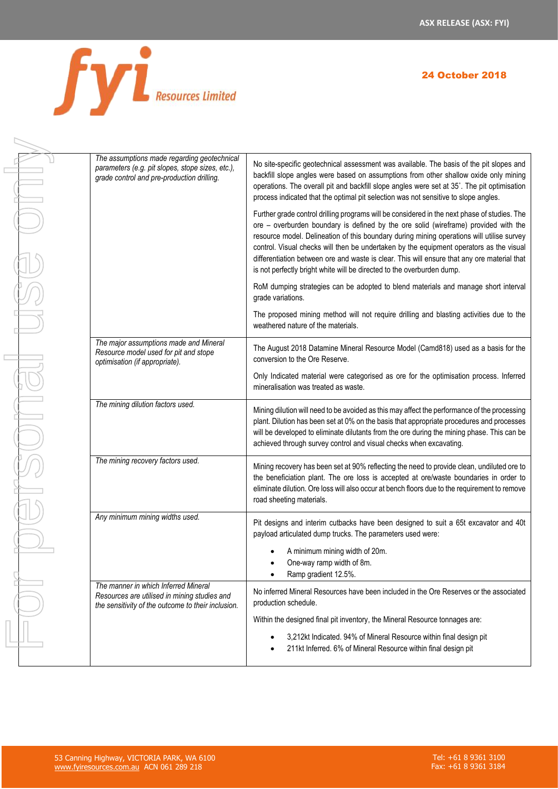

| <b>24 October 2018</b> |
|------------------------|
|------------------------|

| The assumptions made regarding geotechnical                                                                                                |                                                                                                                                                                                                                                                                                                                                                                                                                                                                                                                                                      |
|--------------------------------------------------------------------------------------------------------------------------------------------|------------------------------------------------------------------------------------------------------------------------------------------------------------------------------------------------------------------------------------------------------------------------------------------------------------------------------------------------------------------------------------------------------------------------------------------------------------------------------------------------------------------------------------------------------|
| parameters (e.g. pit slopes, stope sizes, etc.),<br>grade control and pre-production drilling.                                             | No site-specific geotechnical assessment was available. The basis of the pit slopes and<br>backfill slope angles were based on assumptions from other shallow oxide only mining<br>operations. The overall pit and backfill slope angles were set at 35°. The pit optimisation<br>process indicated that the optimal pit selection was not sensitive to slope angles.                                                                                                                                                                                |
|                                                                                                                                            | Further grade control drilling programs will be considered in the next phase of studies. The<br>ore - overburden boundary is defined by the ore solid (wireframe) provided with the<br>resource model. Delineation of this boundary during mining operations will utilise survey<br>control. Visual checks will then be undertaken by the equipment operators as the visual<br>differentiation between ore and waste is clear. This will ensure that any ore material that<br>is not perfectly bright white will be directed to the overburden dump. |
|                                                                                                                                            | RoM dumping strategies can be adopted to blend materials and manage short interval<br>grade variations.                                                                                                                                                                                                                                                                                                                                                                                                                                              |
|                                                                                                                                            | The proposed mining method will not require drilling and blasting activities due to the<br>weathered nature of the materials.                                                                                                                                                                                                                                                                                                                                                                                                                        |
| The major assumptions made and Mineral<br>Resource model used for pit and stope<br>optimisation (if appropriate).                          | The August 2018 Datamine Mineral Resource Model (Camd818) used as a basis for the<br>conversion to the Ore Reserve.                                                                                                                                                                                                                                                                                                                                                                                                                                  |
|                                                                                                                                            | Only Indicated material were categorised as ore for the optimisation process. Inferred<br>mineralisation was treated as waste.                                                                                                                                                                                                                                                                                                                                                                                                                       |
| The mining dilution factors used.                                                                                                          | Mining dilution will need to be avoided as this may affect the performance of the processing<br>plant. Dilution has been set at 0% on the basis that appropriate procedures and processes<br>will be developed to eliminate dilutants from the ore during the mining phase. This can be<br>achieved through survey control and visual checks when excavating.                                                                                                                                                                                        |
| The mining recovery factors used.                                                                                                          | Mining recovery has been set at 90% reflecting the need to provide clean, undiluted ore to<br>the beneficiation plant. The ore loss is accepted at ore/waste boundaries in order to<br>eliminate dilution. Ore loss will also occur at bench floors due to the requirement to remove<br>road sheeting materials.                                                                                                                                                                                                                                     |
| Any minimum mining widths used.                                                                                                            | Pit designs and interim cutbacks have been designed to suit a 65t excavator and 40t<br>payload articulated dump trucks. The parameters used were:                                                                                                                                                                                                                                                                                                                                                                                                    |
|                                                                                                                                            | A minimum mining width of 20m.<br>One-way ramp width of 8m.<br>Ramp gradient 12.5%.                                                                                                                                                                                                                                                                                                                                                                                                                                                                  |
| The manner in which Inferred Mineral<br>Resources are utilised in mining studies and<br>the sensitivity of the outcome to their inclusion. | No inferred Mineral Resources have been included in the Ore Reserves or the associated<br>production schedule.                                                                                                                                                                                                                                                                                                                                                                                                                                       |
|                                                                                                                                            | Within the designed final pit inventory, the Mineral Resource tonnages are:                                                                                                                                                                                                                                                                                                                                                                                                                                                                          |
|                                                                                                                                            | 3,212kt Indicated. 94% of Mineral Resource within final design pit<br>211kt Inferred. 6% of Mineral Resource within final design pit                                                                                                                                                                                                                                                                                                                                                                                                                 |
|                                                                                                                                            |                                                                                                                                                                                                                                                                                                                                                                                                                                                                                                                                                      |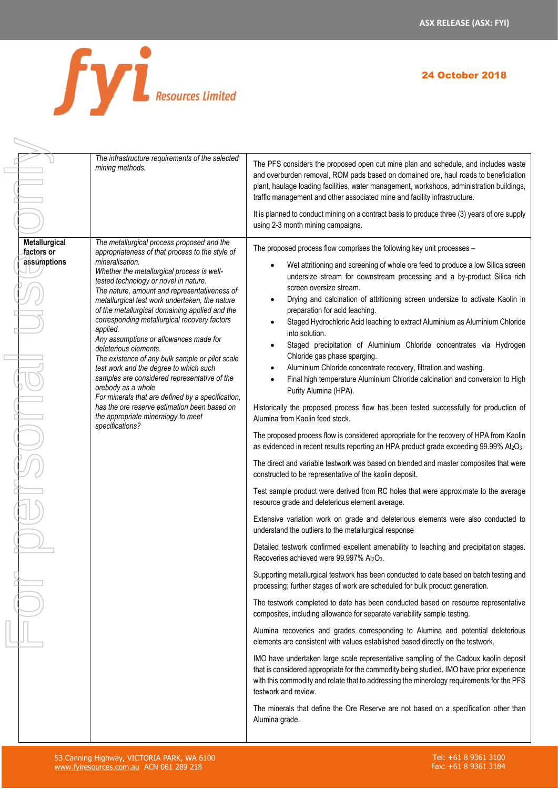

 $\equiv$ 

 $\Box$ 

|                                            | The infrastructure requirements of the selected<br>mining methods.                                                                                                                                                                                                                                                                                                                                                                                                                                                                                                                                                                                                                                                                                                                                                          | The PFS considers the proposed open cut mine plan and schedule, and includes waste<br>and overburden removal, ROM pads based on domained ore, haul roads to beneficiation<br>plant, haulage loading facilities, water management, workshops, administration buildings,<br>traffic management and other associated mine and facility infrastructure.                                                                                                                                                                                                                                                                                                                                                                                                                                                                                                                                                                                                                                                                                                                                                                                                                                                                                                                                                                                                                                                                                                                                                                                                                                                                                                                                                                                                                                                                                                                                                                                                                                                                                                                                                                                                                                                                                                                                                                                                                                                                                                                                                                                                                                                                  |
|--------------------------------------------|-----------------------------------------------------------------------------------------------------------------------------------------------------------------------------------------------------------------------------------------------------------------------------------------------------------------------------------------------------------------------------------------------------------------------------------------------------------------------------------------------------------------------------------------------------------------------------------------------------------------------------------------------------------------------------------------------------------------------------------------------------------------------------------------------------------------------------|----------------------------------------------------------------------------------------------------------------------------------------------------------------------------------------------------------------------------------------------------------------------------------------------------------------------------------------------------------------------------------------------------------------------------------------------------------------------------------------------------------------------------------------------------------------------------------------------------------------------------------------------------------------------------------------------------------------------------------------------------------------------------------------------------------------------------------------------------------------------------------------------------------------------------------------------------------------------------------------------------------------------------------------------------------------------------------------------------------------------------------------------------------------------------------------------------------------------------------------------------------------------------------------------------------------------------------------------------------------------------------------------------------------------------------------------------------------------------------------------------------------------------------------------------------------------------------------------------------------------------------------------------------------------------------------------------------------------------------------------------------------------------------------------------------------------------------------------------------------------------------------------------------------------------------------------------------------------------------------------------------------------------------------------------------------------------------------------------------------------------------------------------------------------------------------------------------------------------------------------------------------------------------------------------------------------------------------------------------------------------------------------------------------------------------------------------------------------------------------------------------------------------------------------------------------------------------------------------------------------|
|                                            |                                                                                                                                                                                                                                                                                                                                                                                                                                                                                                                                                                                                                                                                                                                                                                                                                             | It is planned to conduct mining on a contract basis to produce three (3) years of ore supply<br>using 2-3 month mining campaigns.                                                                                                                                                                                                                                                                                                                                                                                                                                                                                                                                                                                                                                                                                                                                                                                                                                                                                                                                                                                                                                                                                                                                                                                                                                                                                                                                                                                                                                                                                                                                                                                                                                                                                                                                                                                                                                                                                                                                                                                                                                                                                                                                                                                                                                                                                                                                                                                                                                                                                    |
| Metallurgical<br>factors or<br>assumptions | The metallurgical process proposed and the<br>appropriateness of that process to the style of<br>mineralisation.<br>Whether the metallurgical process is well-<br>tested technology or novel in nature.<br>The nature, amount and representativeness of<br>metallurgical test work undertaken, the nature<br>of the metallurgical domaining applied and the<br>corresponding metallurgical recovery factors<br>applied.<br>Any assumptions or allowances made for<br>deleterious elements.<br>The existence of any bulk sample or pilot scale<br>test work and the degree to which such<br>samples are considered representative of the<br>orebody as a whole<br>For minerals that are defined by a specification,<br>has the ore reserve estimation been based on<br>the appropriate mineralogy to meet<br>specifications? | The proposed process flow comprises the following key unit processes -<br>Wet attritioning and screening of whole ore feed to produce a low Silica screen<br>undersize stream for downstream processing and a by-product Silica rich<br>screen oversize stream.<br>Drying and calcination of attritioning screen undersize to activate Kaolin in<br>preparation for acid leaching.<br>Staged Hydrochloric Acid leaching to extract Aluminium as Aluminium Chloride<br>into solution.<br>Staged precipitation of Aluminium Chloride concentrates via Hydrogen<br>Chloride gas phase sparging.<br>Aluminium Chloride concentrate recovery, filtration and washing.<br>Final high temperature Aluminium Chloride calcination and conversion to High<br>Purity Alumina (HPA).<br>Historically the proposed process flow has been tested successfully for production of<br>Alumina from Kaolin feed stock.<br>The proposed process flow is considered appropriate for the recovery of HPA from Kaolin<br>as evidenced in recent results reporting an HPA product grade exceeding 99.99% Al2O3.<br>The direct and variable testwork was based on blended and master composites that were<br>constructed to be representative of the kaolin deposit.<br>Test sample product were derived from RC holes that were approximate to the average<br>resource grade and deleterious element average.<br>Extensive variation work on grade and deleterious elements were also conducted to<br>understand the outliers to the metallurgical response<br>Detailed testwork confirmed excellent amenability to leaching and precipitation stages.<br>Recoveries achieved were 99.997% Al2O3.<br>Supporting metallurgical testwork has been conducted to date based on batch testing and<br>processing; further stages of work are scheduled for bulk product generation.<br>The testwork completed to date has been conducted based on resource representative<br>composites, including allowance for separate variability sample testing.<br>Alumina recoveries and grades corresponding to Alumina and potential deleterious<br>elements are consistent with values established based directly on the testwork.<br>IMO have undertaken large scale representative sampling of the Cadoux kaolin deposit<br>that is considered appropriate for the commodity being studied. IMO have prior experience<br>with this commodity and relate that to addressing the minerology requirements for the PFS<br>testwork and review.<br>The minerals that define the Ore Reserve are not based on a specification other than<br>Alumina grade. |
|                                            |                                                                                                                                                                                                                                                                                                                                                                                                                                                                                                                                                                                                                                                                                                                                                                                                                             |                                                                                                                                                                                                                                                                                                                                                                                                                                                                                                                                                                                                                                                                                                                                                                                                                                                                                                                                                                                                                                                                                                                                                                                                                                                                                                                                                                                                                                                                                                                                                                                                                                                                                                                                                                                                                                                                                                                                                                                                                                                                                                                                                                                                                                                                                                                                                                                                                                                                                                                                                                                                                      |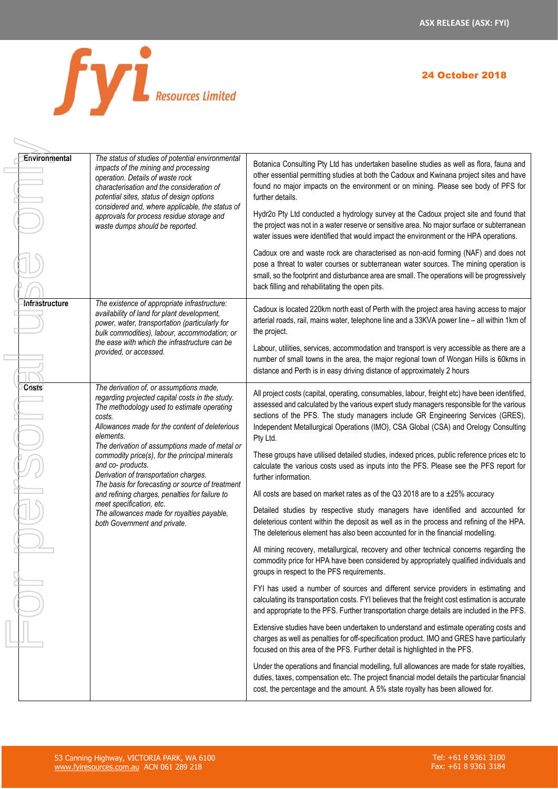

|  | Environmental  | The status of studies of potential environmental<br>impacts of the mining and processing<br>operation. Details of waste rock<br>characterisation and the consideration of<br>potential sites, status of design options<br>considered and, where applicable, the status of | Botanica Consulting Pty Ltd has undertaken baseline studies as well as flora, fauna and<br>other essential permitting studies at both the Cadoux and Kwinana project sites and have<br>found no major impacts on the environment or on mining. Please see body of PFS for<br>further details.                                                                                    |
|--|----------------|---------------------------------------------------------------------------------------------------------------------------------------------------------------------------------------------------------------------------------------------------------------------------|----------------------------------------------------------------------------------------------------------------------------------------------------------------------------------------------------------------------------------------------------------------------------------------------------------------------------------------------------------------------------------|
|  |                | approvals for process residue storage and<br>waste dumps should be reported.                                                                                                                                                                                              | Hydr2o Pty Ltd conducted a hydrology survey at the Cadoux project site and found that<br>the project was not in a water reserve or sensitive area. No major surface or subterranean<br>water issues were identified that would impact the environment or the HPA operations.                                                                                                     |
|  |                |                                                                                                                                                                                                                                                                           | Cadoux ore and waste rock are characterised as non-acid forming (NAF) and does not<br>pose a threat to water courses or subterranean water sources. The mining operation is<br>small, so the footprint and disturbance area are small. The operations will be progressively<br>back filling and rehabilitating the open pits.                                                    |
|  | Infrastructure | The existence of appropriate infrastructure:<br>availability of land for plant development,<br>power, water, transportation (particularly for<br>bulk commodities), labour, accommodation; or<br>the ease with which the infrastructure can be<br>provided, or accessed.  | Cadoux is located 220km north east of Perth with the project area having access to major<br>arterial roads, rail, mains water, telephone line and a 33KVA power line - all within 1km of<br>the project.                                                                                                                                                                         |
|  |                |                                                                                                                                                                                                                                                                           | Labour, utilities, services, accommodation and transport is very accessible as there are a<br>number of small towns in the area, the major regional town of Wongan Hills is 60kms in<br>distance and Perth is in easy driving distance of approximately 2 hours                                                                                                                  |
|  | Costs          | The derivation of, or assumptions made,<br>regarding projected capital costs in the study.<br>The methodology used to estimate operating<br>costs.<br>Allowances made for the content of deleterious<br>elements.<br>The derivation of assumptions made of metal or       | All project costs (capital, operating, consumables, labour, freight etc) have been identified,<br>assessed and calculated by the various expert study managers responsible for the various<br>sections of the PFS. The study managers include GR Engineering Services (GRES),<br>Independent Metallurgical Operations (IMO), CSA Global (CSA) and Orelogy Consulting<br>Pty Ltd. |
|  |                | commodity price(s), for the principal minerals<br>and co-products.<br>Derivation of transportation charges.<br>The basis for forecasting or source of treatment                                                                                                           | These groups have utilised detailed studies, indexed prices, public reference prices etc to<br>calculate the various costs used as inputs into the PFS. Please see the PFS report for<br>further information.                                                                                                                                                                    |
|  |                | and refining charges, penalties for failure to                                                                                                                                                                                                                            | All costs are based on market rates as of the Q3 2018 are to a $\pm 25\%$ accuracy                                                                                                                                                                                                                                                                                               |
|  |                | meet specification, etc.<br>The allowances made for royalties payable,<br>both Government and private.                                                                                                                                                                    | Detailed studies by respective study managers have identified and accounted for<br>deleterious content within the deposit as well as in the process and refining of the HPA.<br>The deleterious element has also been accounted for in the financial modelling.                                                                                                                  |
|  |                |                                                                                                                                                                                                                                                                           | All mining recovery, metallurgical, recovery and other technical concerns regarding the<br>commodity price for HPA have been considered by appropriately qualified individuals and<br>groups in respect to the PFS requirements.                                                                                                                                                 |
|  |                |                                                                                                                                                                                                                                                                           | FYI has used a number of sources and different service providers in estimating and<br>calculating its transportation costs. FYI believes that the freight cost estimation is accurate<br>and appropriate to the PFS. Further transportation charge details are included in the PFS.                                                                                              |
|  |                |                                                                                                                                                                                                                                                                           | Extensive studies have been undertaken to understand and estimate operating costs and<br>charges as well as penalties for off-specification product. IMO and GRES have particularly<br>focused on this area of the PFS. Further detail is highlighted in the PFS.                                                                                                                |
|  |                |                                                                                                                                                                                                                                                                           | Under the operations and financial modelling, full allowances are made for state royalties,<br>duties, taxes, compensation etc. The project financial model details the particular financial<br>cost, the percentage and the amount. A 5% state royalty has been allowed for.                                                                                                    |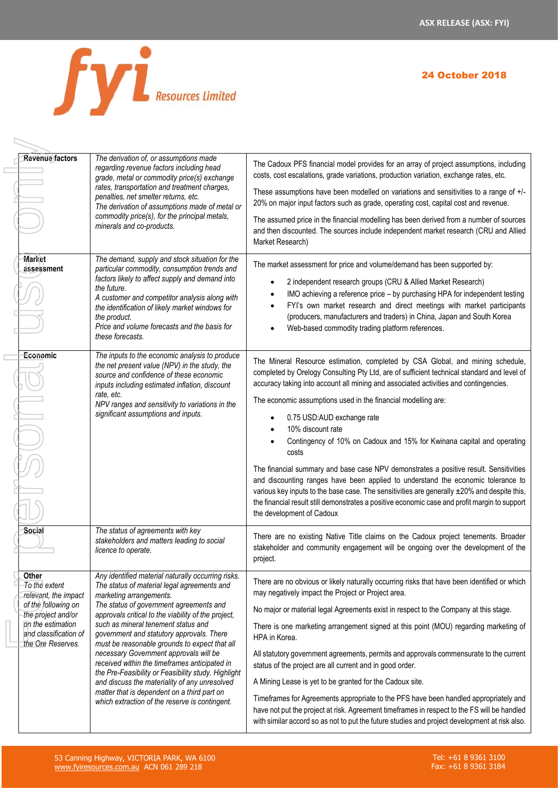

 $\begin{array}{c} \displaystyle \nearrow \\ \displaystyle \nearrow \end{array}$ 

# 24 October 2018

| <b>Revenue factors</b>                                                                                                                                         | The derivation of, or assumptions made<br>regarding revenue factors including head<br>grade, metal or commodity price(s) exchange<br>rates, transportation and treatment charges,<br>penalties, net smelter returns, etc.<br>The derivation of assumptions made of metal or<br>commodity price(s), for the principal metals,<br>minerals and co-products.                                                                                                                                                                                                                                                                                                               | The Cadoux PFS financial model provides for an array of project assumptions, including<br>costs, cost escalations, grade variations, production variation, exchange rates, etc.<br>These assumptions have been modelled on variations and sensitivities to a range of +/-<br>20% on major input factors such as grade, operating cost, capital cost and revenue.<br>The assumed price in the financial modelling has been derived from a number of sources<br>and then discounted. The sources include independent market research (CRU and Allied<br>Market Research)                                                                                                                                                                                                                                                                                                                |
|----------------------------------------------------------------------------------------------------------------------------------------------------------------|-------------------------------------------------------------------------------------------------------------------------------------------------------------------------------------------------------------------------------------------------------------------------------------------------------------------------------------------------------------------------------------------------------------------------------------------------------------------------------------------------------------------------------------------------------------------------------------------------------------------------------------------------------------------------|---------------------------------------------------------------------------------------------------------------------------------------------------------------------------------------------------------------------------------------------------------------------------------------------------------------------------------------------------------------------------------------------------------------------------------------------------------------------------------------------------------------------------------------------------------------------------------------------------------------------------------------------------------------------------------------------------------------------------------------------------------------------------------------------------------------------------------------------------------------------------------------|
| <b>Market</b><br>assessment                                                                                                                                    | The demand, supply and stock situation for the<br>particular commodity, consumption trends and<br>factors likely to affect supply and demand into<br>the future.<br>A customer and competitor analysis along with<br>the identification of likely market windows for<br>the product.<br>Price and volume forecasts and the basis for<br>these forecasts.                                                                                                                                                                                                                                                                                                                | The market assessment for price and volume/demand has been supported by:<br>2 independent research groups (CRU & Allied Market Research)<br>IMO achieving a reference price - by purchasing HPA for independent testing<br>FYI's own market research and direct meetings with market participants<br>$\bullet$<br>(producers, manufacturers and traders) in China, Japan and South Korea<br>Web-based commodity trading platform references.                                                                                                                                                                                                                                                                                                                                                                                                                                          |
| Economic                                                                                                                                                       | The inputs to the economic analysis to produce<br>the net present value (NPV) in the study, the<br>source and confidence of these economic<br>inputs including estimated inflation, discount<br>rate, etc.<br>NPV ranges and sensitivity to variations in the<br>significant assumptions and inputs.                                                                                                                                                                                                                                                                                                                                                                    | The Mineral Resource estimation, completed by CSA Global, and mining schedule,<br>completed by Orelogy Consulting Pty Ltd, are of sufficient technical standard and level of<br>accuracy taking into account all mining and associated activities and contingencies.<br>The economic assumptions used in the financial modelling are:<br>0.75 USD:AUD exchange rate<br>10% discount rate<br>Contingency of 10% on Cadoux and 15% for Kwinana capital and operating<br>costs<br>The financial summary and base case NPV demonstrates a positive result. Sensitivities<br>and discounting ranges have been applied to understand the economic tolerance to<br>various key inputs to the base case. The sensitivities are generally ±20% and despite this,<br>the financial result still demonstrates a positive economic case and profit margin to support<br>the development of Cadoux |
| Social                                                                                                                                                         | The status of agreements with key<br>stakeholders and matters leading to social<br>licence to operate.                                                                                                                                                                                                                                                                                                                                                                                                                                                                                                                                                                  | There are no existing Native Title claims on the Cadoux project tenements. Broader<br>stakeholder and community engagement will be ongoing over the development of the<br>project.                                                                                                                                                                                                                                                                                                                                                                                                                                                                                                                                                                                                                                                                                                    |
| Other<br>To the extent<br>relevant, the impact<br>of the following on<br>the project and/or<br>on the estimation<br>and classification of<br>the Ore Reserves. | Any identified material naturally occurring risks.<br>The status of material legal agreements and<br>marketing arrangements.<br>The status of government agreements and<br>approvals critical to the viability of the project,<br>such as mineral tenement status and<br>government and statutory approvals. There<br>must be reasonable grounds to expect that all<br>necessary Government approvals will be<br>received within the timeframes anticipated in<br>the Pre-Feasibility or Feasibility study. Highlight<br>and discuss the materiality of any unresolved<br>matter that is dependent on a third part on<br>which extraction of the reserve is contingent. | There are no obvious or likely naturally occurring risks that have been identified or which<br>may negatively impact the Project or Project area.<br>No major or material legal Agreements exist in respect to the Company at this stage.<br>There is one marketing arrangement signed at this point (MOU) regarding marketing of<br>HPA in Korea.<br>All statutory government agreements, permits and approvals commensurate to the current<br>status of the project are all current and in good order.<br>A Mining Lease is yet to be granted for the Cadoux site.<br>Timeframes for Agreements appropriate to the PFS have been handled appropriately and<br>have not put the project at risk. Agreement timeframes in respect to the FS will be handled<br>with similar accord so as not to put the future studies and project development at risk also.                          |